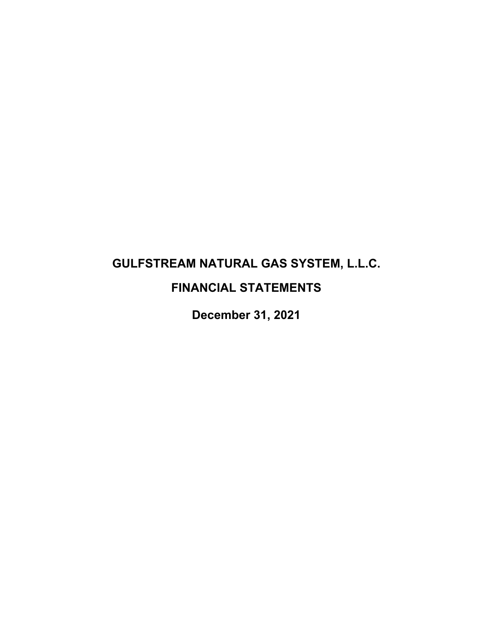# **GULFSTREAM NATURAL GAS SYSTEM, L.L.C. FINANCIAL STATEMENTS**

**December 31, 2021**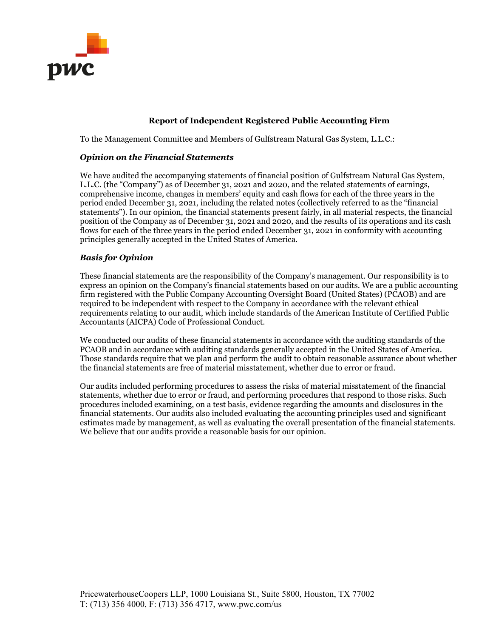

#### **Report of Independent Registered Public Accounting Firm**

To the Management Committee and Members of Gulfstream Natural Gas System, L.L.C.:

#### *Opinion on the Financial Statements*

We have audited the accompanying statements of financial position of Gulfstream Natural Gas System, L.L.C. (the "Company") as of December 31, 2021 and 2020, and the related statements of earnings, comprehensive income, changes in members' equity and cash flows for each of the three years in the period ended December 31, 2021, including the related notes (collectively referred to as the "financial statements"). In our opinion, the financial statements present fairly, in all material respects, the financial position of the Company as of December 31, 2021 and 2020, and the results of its operations and its cash flows for each of the three years in the period ended December 31, 2021 in conformity with accounting principles generally accepted in the United States of America.

#### *Basis for Opinion*

These financial statements are the responsibility of the Company's management. Our responsibility is to express an opinion on the Company's financial statements based on our audits. We are a public accounting firm registered with the Public Company Accounting Oversight Board (United States) (PCAOB) and are required to be independent with respect to the Company in accordance with the relevant ethical requirements relating to our audit, which include standards of the American Institute of Certified Public Accountants (AICPA) Code of Professional Conduct.

We conducted our audits of these financial statements in accordance with the auditing standards of the PCAOB and in accordance with auditing standards generally accepted in the United States of America. Those standards require that we plan and perform the audit to obtain reasonable assurance about whether the financial statements are free of material misstatement, whether due to error or fraud.

Our audits included performing procedures to assess the risks of material misstatement of the financial statements, whether due to error or fraud, and performing procedures that respond to those risks. Such procedures included examining, on a test basis, evidence regarding the amounts and disclosures in the financial statements. Our audits also included evaluating the accounting principles used and significant estimates made by management, as well as evaluating the overall presentation of the financial statements. We believe that our audits provide a reasonable basis for our opinion.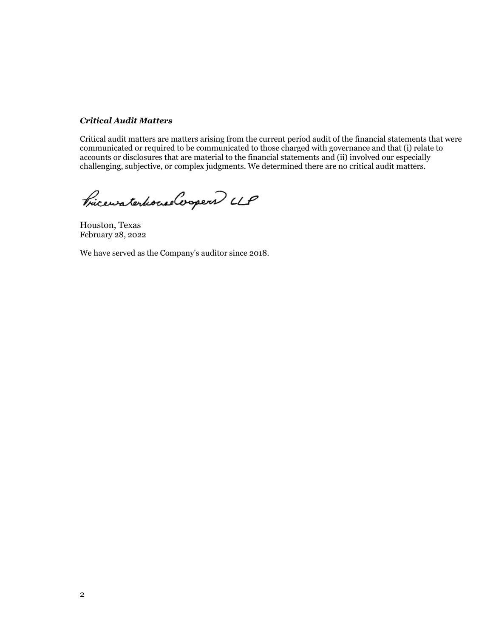#### *Critical Audit Matters*

Critical audit matters are matters arising from the current period audit of the financial statements that were communicated or required to be communicated to those charged with governance and that (i) relate to accounts or disclosures that are material to the financial statements and (ii) involved our especially challenging, subjective, or complex judgments. We determined there are no critical audit matters.

Pricewaterhouse Cooper UP

Houston, Texas February 28, 2022

We have served as the Company's auditor since 2018.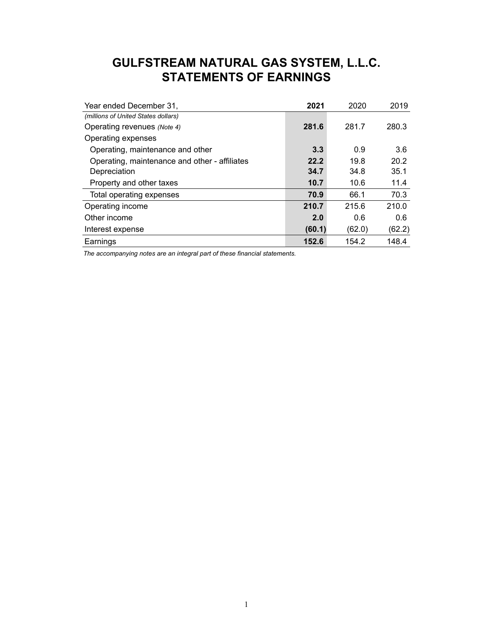# **GULFSTREAM NATURAL GAS SYSTEM, L.L.C. STATEMENTS OF EARNINGS**

| Year ended December 31,                       | 2021   | 2020   | 2019   |
|-----------------------------------------------|--------|--------|--------|
| (millions of United States dollars)           |        |        |        |
| Operating revenues (Note 4)                   | 281.6  | 281.7  | 280.3  |
| Operating expenses                            |        |        |        |
| Operating, maintenance and other              | 3.3    | 0.9    | 3.6    |
| Operating, maintenance and other - affiliates | 22.2   | 19.8   | 20.2   |
| Depreciation                                  | 34.7   | 34.8   | 35.1   |
| Property and other taxes                      | 10.7   | 10.6   | 11.4   |
| Total operating expenses                      | 70.9   | 66.1   | 70.3   |
| Operating income                              | 210.7  | 215.6  | 210.0  |
| Other income                                  | 2.0    | 0.6    | 0.6    |
| Interest expense                              | (60.1) | (62.0) | (62.2) |
| Earnings                                      | 152.6  | 154.2  | 148.4  |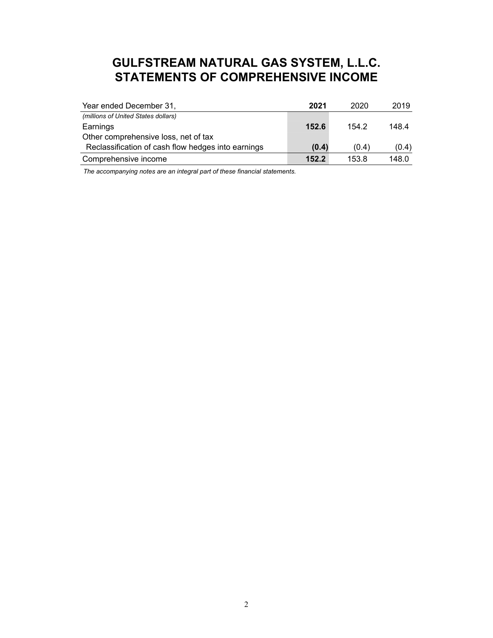# **GULFSTREAM NATURAL GAS SYSTEM, L.L.C. STATEMENTS OF COMPREHENSIVE INCOME**

| Year ended December 31,                            | 2021  | 2020  | 2019  |
|----------------------------------------------------|-------|-------|-------|
| (millions of United States dollars)                |       |       |       |
| Earnings                                           | 152.6 | 154.2 | 148.4 |
| Other comprehensive loss, net of tax               |       |       |       |
| Reclassification of cash flow hedges into earnings | (0.4) | (0.4) | (0.4) |
| Comprehensive income                               | 152.2 | 153.8 | 148.0 |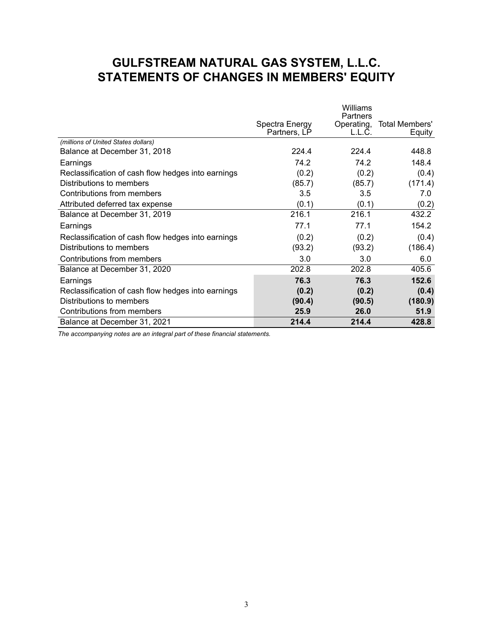# **GULFSTREAM NATURAL GAS SYSTEM, L.L.C. STATEMENTS OF CHANGES IN MEMBERS' EQUITY**

|                                                    |                                | Williams                         |                          |
|----------------------------------------------------|--------------------------------|----------------------------------|--------------------------|
|                                                    | Spectra Energy<br>Partners, LP | Partners<br>Operating,<br>L.L.C. | Total Members'<br>Equity |
| (millions of United States dollars)                |                                |                                  |                          |
| Balance at December 31, 2018                       | 224.4                          | 224.4                            | 448.8                    |
| Earnings                                           | 74.2                           | 74.2                             | 148.4                    |
| Reclassification of cash flow hedges into earnings | (0.2)                          | (0.2)                            | (0.4)                    |
| Distributions to members                           | (85.7)                         | (85.7)                           | (171.4)                  |
| Contributions from members                         | 3.5                            | 3.5                              | 7.0                      |
| Attributed deferred tax expense                    | (0.1)                          | (0.1)                            | (0.2)                    |
| Balance at December 31, 2019                       | 216.1                          | 216.1                            | 432.2                    |
| Earnings                                           | 77.1                           | 77.1                             | 154.2                    |
| Reclassification of cash flow hedges into earnings | (0.2)                          | (0.2)                            | (0.4)                    |
| Distributions to members                           | (93.2)                         | (93.2)                           | (186.4)                  |
| Contributions from members                         | 3.0                            | 3.0                              | 6.0                      |
| Balance at December 31, 2020                       | 202.8                          | 202.8                            | 405.6                    |
| Earnings                                           | 76.3                           | 76.3                             | 152.6                    |
| Reclassification of cash flow hedges into earnings | (0.2)                          | (0.2)                            | (0.4)                    |
| Distributions to members                           | (90.4)                         | (90.5)                           | (180.9)                  |
| Contributions from members                         | 25.9                           | 26.0                             | 51.9                     |
| Balance at December 31, 2021                       | 214.4                          | 214.4                            | 428.8                    |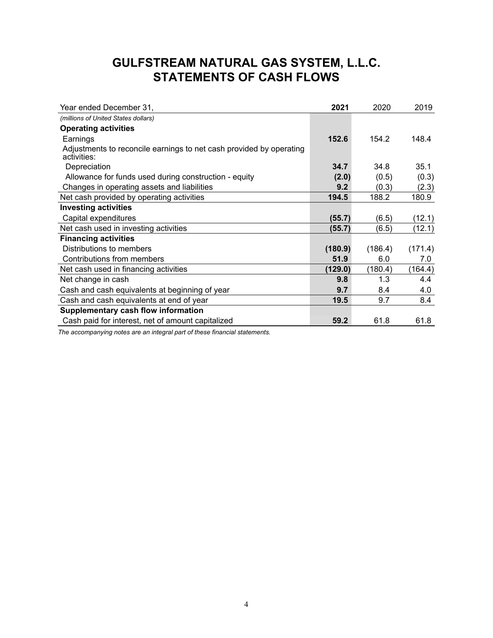# **GULFSTREAM NATURAL GAS SYSTEM, L.L.C. STATEMENTS OF CASH FLOWS**

| Year ended December 31,                                                            | 2021    | 2020    | 2019    |
|------------------------------------------------------------------------------------|---------|---------|---------|
| (millions of United States dollars)                                                |         |         |         |
| <b>Operating activities</b>                                                        |         |         |         |
| Earnings                                                                           | 152.6   | 154.2   | 148.4   |
| Adjustments to reconcile earnings to net cash provided by operating<br>activities: |         |         |         |
| Depreciation                                                                       | 34.7    | 34.8    | 35.1    |
| Allowance for funds used during construction - equity                              | (2.0)   | (0.5)   | (0.3)   |
| Changes in operating assets and liabilities                                        | 9.2     | (0.3)   | (2.3)   |
| Net cash provided by operating activities                                          | 194.5   | 188.2   | 180.9   |
| <b>Investing activities</b>                                                        |         |         |         |
| Capital expenditures                                                               | (55.7)  | (6.5)   | (12.1)  |
| Net cash used in investing activities                                              | (55.7)  | (6.5)   | (12.1)  |
| <b>Financing activities</b>                                                        |         |         |         |
| Distributions to members                                                           | (180.9) | (186.4) | (171.4) |
| Contributions from members                                                         | 51.9    | 6.0     | 7.0     |
| Net cash used in financing activities                                              | (129.0) | (180.4) | (164.4) |
| Net change in cash                                                                 | 9.8     | 1.3     | 4.4     |
| Cash and cash equivalents at beginning of year                                     | 9.7     | 8.4     | 4.0     |
| Cash and cash equivalents at end of year                                           | 19.5    | 9.7     | 8.4     |
| Supplementary cash flow information                                                |         |         |         |
| Cash paid for interest, net of amount capitalized                                  | 59.2    | 61.8    | 61.8    |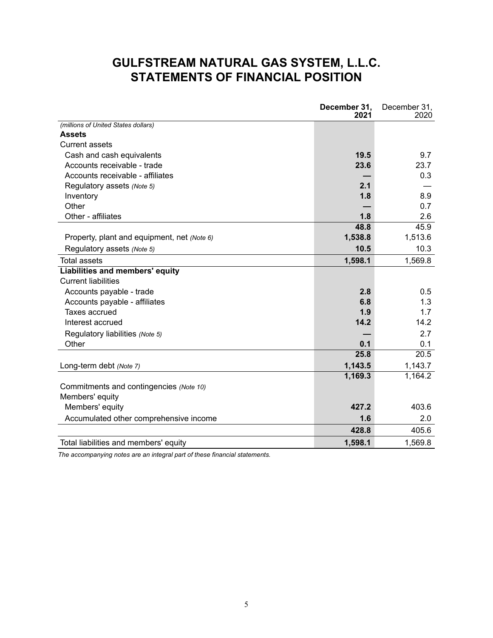# **GULFSTREAM NATURAL GAS SYSTEM, L.L.C. STATEMENTS OF FINANCIAL POSITION**

|                                             | December 31,<br>2021 | December 31,<br>2020 |
|---------------------------------------------|----------------------|----------------------|
| (millions of United States dollars)         |                      |                      |
| <b>Assets</b>                               |                      |                      |
| <b>Current assets</b>                       |                      |                      |
| Cash and cash equivalents                   | 19.5                 | 9.7                  |
| Accounts receivable - trade                 | 23.6                 | 23.7                 |
| Accounts receivable - affiliates            |                      | 0.3                  |
| Regulatory assets (Note 5)                  | 2.1                  |                      |
| Inventory                                   | 1.8                  | 8.9                  |
| Other                                       |                      | 0.7                  |
| Other - affiliates                          | 1.8                  | 2.6                  |
|                                             | 48.8                 | 45.9                 |
| Property, plant and equipment, net (Note 6) | 1,538.8              | 1,513.6              |
| Regulatory assets (Note 5)                  | 10.5                 | 10.3                 |
| <b>Total assets</b>                         | 1,598.1              | 1,569.8              |
| Liabilities and members' equity             |                      |                      |
| <b>Current liabilities</b>                  |                      |                      |
| Accounts payable - trade                    | 2.8                  | 0.5                  |
| Accounts payable - affiliates               | 6.8                  | 1.3                  |
| Taxes accrued                               | 1.9                  | 1.7                  |
| Interest accrued                            | 14.2                 | 14.2                 |
| Regulatory liabilities (Note 5)             |                      | 2.7                  |
| Other                                       | 0.1                  | 0.1                  |
|                                             | 25.8                 | 20.5                 |
| Long-term debt (Note 7)                     | 1,143.5              | 1,143.7              |
|                                             | 1,169.3              | 1,164.2              |
| Commitments and contingencies (Note 10)     |                      |                      |
| Members' equity                             |                      |                      |
| Members' equity                             | 427.2                | 403.6                |
| Accumulated other comprehensive income      | 1.6                  | 2.0                  |
|                                             | 428.8                | 405.6                |
| Total liabilities and members' equity       | 1,598.1              | 1,569.8              |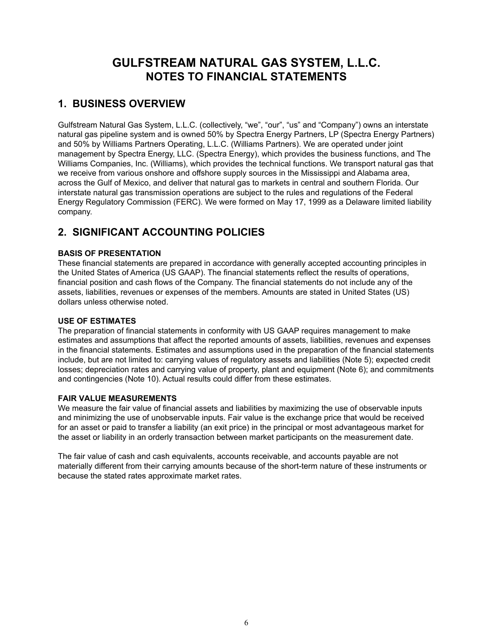# **GULFSTREAM NATURAL GAS SYSTEM, L.L.C. NOTES TO FINANCIAL STATEMENTS**

# **1. BUSINESS OVERVIEW**

Gulfstream Natural Gas System, L.L.C. (collectively, "we", "our", "us" and "Company") owns an interstate natural gas pipeline system and is owned 50% by Spectra Energy Partners, LP (Spectra Energy Partners) and 50% by Williams Partners Operating, L.L.C. (Williams Partners). We are operated under joint management by Spectra Energy, LLC. (Spectra Energy), which provides the business functions, and The Williams Companies, Inc. (Williams), which provides the technical functions. We transport natural gas that we receive from various onshore and offshore supply sources in the Mississippi and Alabama area, across the Gulf of Mexico, and deliver that natural gas to markets in central and southern Florida. Our interstate natural gas transmission operations are subject to the rules and regulations of the Federal Energy Regulatory Commission (FERC). We were formed on May 17, 1999 as a Delaware limited liability company.

# **2. SIGNIFICANT ACCOUNTING POLICIES**

#### **BASIS OF PRESENTATION**

These financial statements are prepared in accordance with generally accepted accounting principles in the United States of America (US GAAP). The financial statements reflect the results of operations, financial position and cash flows of the Company. The financial statements do not include any of the assets, liabilities, revenues or expenses of the members. Amounts are stated in United States (US) dollars unless otherwise noted.

#### **USE OF ESTIMATES**

The preparation of financial statements in conformity with US GAAP requires management to make estimates and assumptions that affect the reported amounts of assets, liabilities, revenues and expenses in the financial statements. Estimates and assumptions used in the preparation of the financial statements include, but are not limited to: carrying values of regulatory assets and liabilities (Note 5); expected credit losses; depreciation rates and carrying value of property, plant and equipment (Note 6); and commitments and contingencies (Note 10). Actual results could differ from these estimates.

#### **FAIR VALUE MEASUREMENTS**

We measure the fair value of financial assets and liabilities by maximizing the use of observable inputs and minimizing the use of unobservable inputs. Fair value is the exchange price that would be received for an asset or paid to transfer a liability (an exit price) in the principal or most advantageous market for the asset or liability in an orderly transaction between market participants on the measurement date.

The fair value of cash and cash equivalents, accounts receivable, and accounts payable are not materially different from their carrying amounts because of the short-term nature of these instruments or because the stated rates approximate market rates.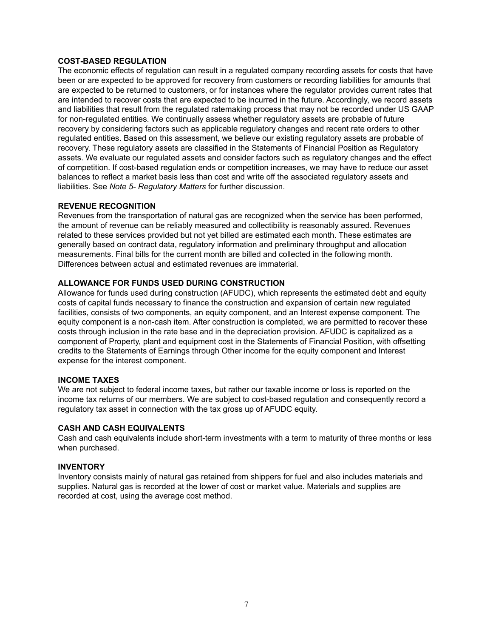#### **COST-BASED REGULATION**

The economic effects of regulation can result in a regulated company recording assets for costs that have been or are expected to be approved for recovery from customers or recording liabilities for amounts that are expected to be returned to customers, or for instances where the regulator provides current rates that are intended to recover costs that are expected to be incurred in the future. Accordingly, we record assets and liabilities that result from the regulated ratemaking process that may not be recorded under US GAAP for non-regulated entities. We continually assess whether regulatory assets are probable of future recovery by considering factors such as applicable regulatory changes and recent rate orders to other regulated entities. Based on this assessment, we believe our existing regulatory assets are probable of recovery. These regulatory assets are classified in the Statements of Financial Position as Regulatory assets. We evaluate our regulated assets and consider factors such as regulatory changes and the effect of competition. If cost-based regulation ends or competition increases, we may have to reduce our asset balances to reflect a market basis less than cost and write off the associated regulatory assets and liabilities. See *Note 5- Regulatory Matters* for further discussion.

#### **REVENUE RECOGNITION**

Revenues from the transportation of natural gas are recognized when the service has been performed, the amount of revenue can be reliably measured and collectibility is reasonably assured. Revenues related to these services provided but not yet billed are estimated each month. These estimates are generally based on contract data, regulatory information and preliminary throughput and allocation measurements. Final bills for the current month are billed and collected in the following month. Differences between actual and estimated revenues are immaterial.

#### **ALLOWANCE FOR FUNDS USED DURING CONSTRUCTION**

Allowance for funds used during construction (AFUDC), which represents the estimated debt and equity costs of capital funds necessary to finance the construction and expansion of certain new regulated facilities, consists of two components, an equity component, and an Interest expense component. The equity component is a non-cash item. After construction is completed, we are permitted to recover these costs through inclusion in the rate base and in the depreciation provision. AFUDC is capitalized as a component of Property, plant and equipment cost in the Statements of Financial Position, with offsetting credits to the Statements of Earnings through Other income for the equity component and Interest expense for the interest component.

#### **INCOME TAXES**

We are not subject to federal income taxes, but rather our taxable income or loss is reported on the income tax returns of our members. We are subject to cost-based regulation and consequently record a regulatory tax asset in connection with the tax gross up of AFUDC equity.

#### **CASH AND CASH EQUIVALENTS**

Cash and cash equivalents include short-term investments with a term to maturity of three months or less when purchased.

#### **INVENTORY**

Inventory consists mainly of natural gas retained from shippers for fuel and also includes materials and supplies. Natural gas is recorded at the lower of cost or market value. Materials and supplies are recorded at cost, using the average cost method.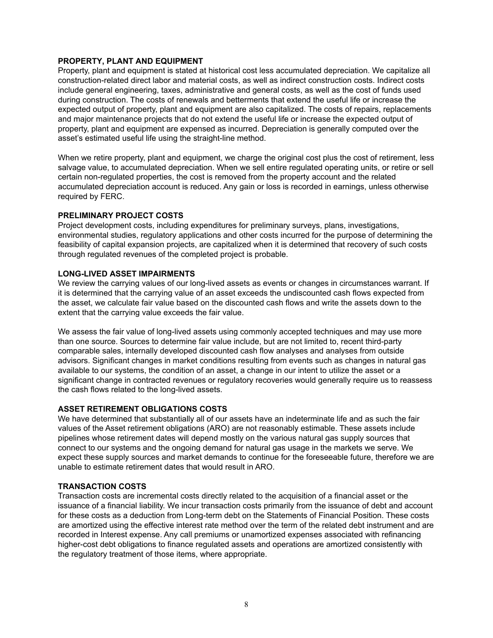#### **PROPERTY, PLANT AND EQUIPMENT**

Property, plant and equipment is stated at historical cost less accumulated depreciation. We capitalize all construction-related direct labor and material costs, as well as indirect construction costs. Indirect costs include general engineering, taxes, administrative and general costs, as well as the cost of funds used during construction. The costs of renewals and betterments that extend the useful life or increase the expected output of property, plant and equipment are also capitalized. The costs of repairs, replacements and major maintenance projects that do not extend the useful life or increase the expected output of property, plant and equipment are expensed as incurred. Depreciation is generally computed over the asset's estimated useful life using the straight-line method.

When we retire property, plant and equipment, we charge the original cost plus the cost of retirement, less salvage value, to accumulated depreciation. When we sell entire regulated operating units, or retire or sell certain non-regulated properties, the cost is removed from the property account and the related accumulated depreciation account is reduced. Any gain or loss is recorded in earnings, unless otherwise required by FERC.

#### **PRELIMINARY PROJECT COSTS**

Project development costs, including expenditures for preliminary surveys, plans, investigations, environmental studies, regulatory applications and other costs incurred for the purpose of determining the feasibility of capital expansion projects, are capitalized when it is determined that recovery of such costs through regulated revenues of the completed project is probable.

#### **LONG-LIVED ASSET IMPAIRMENTS**

We review the carrying values of our long-lived assets as events or changes in circumstances warrant. If it is determined that the carrying value of an asset exceeds the undiscounted cash flows expected from the asset, we calculate fair value based on the discounted cash flows and write the assets down to the extent that the carrying value exceeds the fair value.

We assess the fair value of long-lived assets using commonly accepted techniques and may use more than one source. Sources to determine fair value include, but are not limited to, recent third-party comparable sales, internally developed discounted cash flow analyses and analyses from outside advisors. Significant changes in market conditions resulting from events such as changes in natural gas available to our systems, the condition of an asset, a change in our intent to utilize the asset or a significant change in contracted revenues or regulatory recoveries would generally require us to reassess the cash flows related to the long-lived assets.

#### **ASSET RETIREMENT OBLIGATIONS COSTS**

We have determined that substantially all of our assets have an indeterminate life and as such the fair values of the Asset retirement obligations (ARO) are not reasonably estimable. These assets include pipelines whose retirement dates will depend mostly on the various natural gas supply sources that connect to our systems and the ongoing demand for natural gas usage in the markets we serve. We expect these supply sources and market demands to continue for the foreseeable future, therefore we are unable to estimate retirement dates that would result in ARO.

#### **TRANSACTION COSTS**

Transaction costs are incremental costs directly related to the acquisition of a financial asset or the issuance of a financial liability. We incur transaction costs primarily from the issuance of debt and account for these costs as a deduction from Long-term debt on the Statements of Financial Position. These costs are amortized using the effective interest rate method over the term of the related debt instrument and are recorded in Interest expense. Any call premiums or unamortized expenses associated with refinancing higher-cost debt obligations to finance regulated assets and operations are amortized consistently with the regulatory treatment of those items, where appropriate.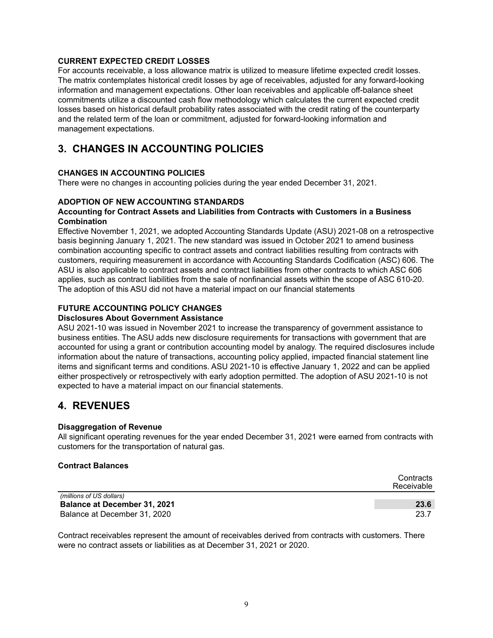#### **CURRENT EXPECTED CREDIT LOSSES**

For accounts receivable, a loss allowance matrix is utilized to measure lifetime expected credit losses. The matrix contemplates historical credit losses by age of receivables, adjusted for any forward-looking information and management expectations. Other loan receivables and applicable off-balance sheet commitments utilize a discounted cash flow methodology which calculates the current expected credit losses based on historical default probability rates associated with the credit rating of the counterparty and the related term of the loan or commitment, adjusted for forward-looking information and management expectations.

### **3. CHANGES IN ACCOUNTING POLICIES**

#### **CHANGES IN ACCOUNTING POLICIES**

There were no changes in accounting policies during the year ended December 31, 2021.

#### **ADOPTION OF NEW ACCOUNTING STANDARDS**

#### **Accounting for Contract Assets and Liabilities from Contracts with Customers in a Business Combination**

Effective November 1, 2021, we adopted Accounting Standards Update (ASU) 2021-08 on a retrospective basis beginning January 1, 2021. The new standard was issued in October 2021 to amend business combination accounting specific to contract assets and contract liabilities resulting from contracts with customers, requiring measurement in accordance with Accounting Standards Codification (ASC) 606. The ASU is also applicable to contract assets and contract liabilities from other contracts to which ASC 606 applies, such as contract liabilities from the sale of nonfinancial assets within the scope of ASC 610-20. The adoption of this ASU did not have a material impact on our financial statements

#### **FUTURE ACCOUNTING POLICY CHANGES**

#### **Disclosures About Government Assistance**

ASU 2021-10 was issued in November 2021 to increase the transparency of government assistance to business entities. The ASU adds new disclosure requirements for transactions with government that are accounted for using a grant or contribution accounting model by analogy. The required disclosures include information about the nature of transactions, accounting policy applied, impacted financial statement line items and significant terms and conditions. ASU 2021-10 is effective January 1, 2022 and can be applied either prospectively or retrospectively with early adoption permitted. The adoption of ASU 2021-10 is not expected to have a material impact on our financial statements.

### **4. REVENUES**

#### **Disaggregation of Revenue**

All significant operating revenues for the year ended December 31, 2021 were earned from contracts with customers for the transportation of natural gas.

#### **Contract Balances**

|                                     | Contracts<br>Receivable |
|-------------------------------------|-------------------------|
| (millions of US dollars)            |                         |
| <b>Balance at December 31, 2021</b> | 23.6                    |
| Balance at December 31, 2020        | 23.7                    |

Contract receivables represent the amount of receivables derived from contracts with customers. There were no contract assets or liabilities as at December 31, 2021 or 2020.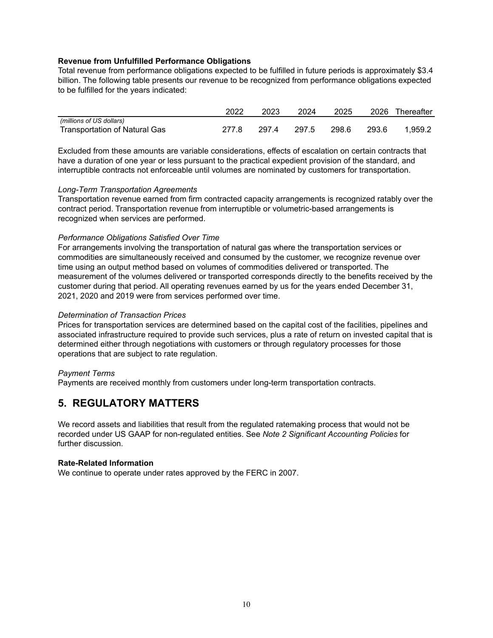#### **Revenue from Unfulfilled Performance Obligations**

Total revenue from performance obligations expected to be fulfilled in future periods is approximately \$3.4 billion. The following table presents our revenue to be recognized from performance obligations expected to be fulfilled for the years indicated:

|                               | 2022  | 2023  | 2024  | 2025  | 2026  | Thereafter |
|-------------------------------|-------|-------|-------|-------|-------|------------|
| (millions of US dollars)      |       |       |       |       |       |            |
| Transportation of Natural Gas | 277.8 | 297.4 | 297.5 | 298.6 | 293.6 | 1.959.2    |

Excluded from these amounts are variable considerations, effects of escalation on certain contracts that have a duration of one year or less pursuant to the practical expedient provision of the standard, and interruptible contracts not enforceable until volumes are nominated by customers for transportation.

#### *Long-Term Transportation Agreements*

Transportation revenue earned from firm contracted capacity arrangements is recognized ratably over the contract period. Transportation revenue from interruptible or volumetric-based arrangements is recognized when services are performed.

#### *Performance Obligations Satisfied Over Time*

For arrangements involving the transportation of natural gas where the transportation services or commodities are simultaneously received and consumed by the customer, we recognize revenue over time using an output method based on volumes of commodities delivered or transported. The measurement of the volumes delivered or transported corresponds directly to the benefits received by the customer during that period. All operating revenues earned by us for the years ended December 31, 2021, 2020 and 2019 were from services performed over time.

#### *Determination of Transaction Prices*

Prices for transportation services are determined based on the capital cost of the facilities, pipelines and associated infrastructure required to provide such services, plus a rate of return on invested capital that is determined either through negotiations with customers or through regulatory processes for those operations that are subject to rate regulation.

#### *Payment Terms*

Payments are received monthly from customers under long-term transportation contracts.

### **5. REGULATORY MATTERS**

We record assets and liabilities that result from the regulated ratemaking process that would not be recorded under US GAAP for non-regulated entities. See *Note 2 Significant Accounting Policies* for further discussion.

#### **Rate-Related Information**

We continue to operate under rates approved by the FERC in 2007.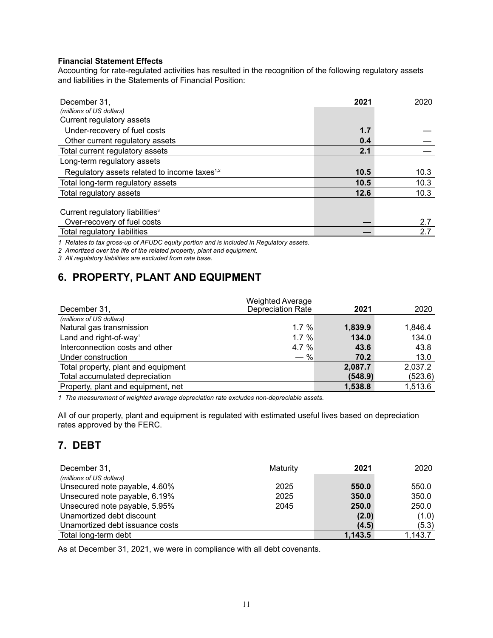#### **Financial Statement Effects**

Accounting for rate-regulated activities has resulted in the recognition of the following regulatory assets and liabilities in the Statements of Financial Position:

| December 31,                                             | 2021 | 2020 |
|----------------------------------------------------------|------|------|
| (millions of US dollars)                                 |      |      |
| Current regulatory assets                                |      |      |
| Under-recovery of fuel costs                             | 1.7  |      |
| Other current regulatory assets                          | 0.4  |      |
| Total current regulatory assets                          | 2.1  |      |
| Long-term regulatory assets                              |      |      |
| Regulatory assets related to income taxes <sup>1,2</sup> | 10.5 | 10.3 |
| Total long-term regulatory assets                        | 10.5 | 10.3 |
| Total regulatory assets                                  | 12.6 | 10.3 |
|                                                          |      |      |
| Current regulatory liabilities <sup>3</sup>              |      |      |
| Over-recovery of fuel costs                              |      | 2.7  |
| Total regulatory liabilities                             |      | 2.7  |

*1 Relates to tax gross-up of AFUDC equity portion and is included in Regulatory assets.*

*2 Amortized over the life of the related property, plant and equipment.*

*3 All regulatory liabilities are excluded from rate base.*

# **6. PROPERTY, PLANT AND EQUIPMENT**

| December 31,                        | <b>Weighted Average</b><br><b>Depreciation Rate</b> | 2021    | 2020    |
|-------------------------------------|-----------------------------------------------------|---------|---------|
| (millions of US dollars)            |                                                     |         |         |
| Natural gas transmission            | $1.7 \%$                                            | 1,839.9 | 1.846.4 |
| Land and right-of-way <sup>1</sup>  | 1.7%                                                | 134.0   | 134.0   |
| Interconnection costs and other     | 4.7%                                                | 43.6    | 43.8    |
| Under construction                  | $-$ %                                               | 70.2    | 13.0    |
| Total property, plant and equipment |                                                     | 2,087.7 | 2,037.2 |
| Total accumulated depreciation      |                                                     | (548.9) | (523.6) |
| Property, plant and equipment, net  |                                                     | 1,538.8 | 1,513.6 |

*1 The measurement of weighted average depreciation rate excludes non-depreciable assets.*

All of our property, plant and equipment is regulated with estimated useful lives based on depreciation rates approved by the FERC.

### **7. DEBT**

| December 31,                    | Maturity | 2021    | 2020    |
|---------------------------------|----------|---------|---------|
| (millions of US dollars)        |          |         |         |
| Unsecured note payable, 4.60%   | 2025     | 550.0   | 550.0   |
| Unsecured note payable, 6.19%   | 2025     | 350.0   | 350.0   |
| Unsecured note payable, 5.95%   | 2045     | 250.0   | 250.0   |
| Unamortized debt discount       |          | (2.0)   | (1.0)   |
| Unamortized debt issuance costs |          | (4.5)   | (5.3)   |
| Total long-term debt            |          | 1,143.5 | 1.143.7 |

As at December 31, 2021, we were in compliance with all debt covenants.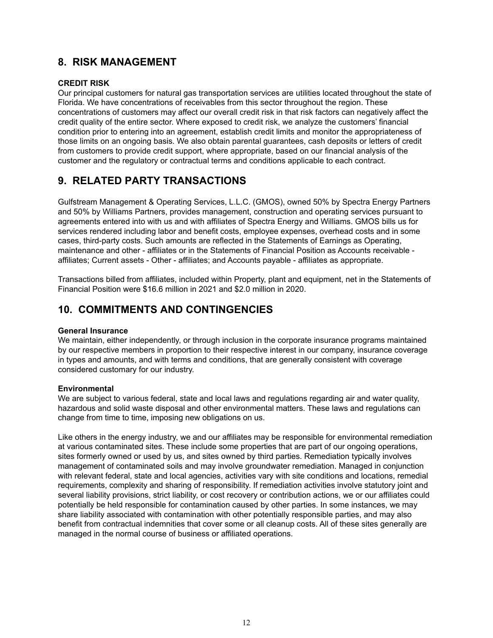### **8. RISK MANAGEMENT**

#### **CREDIT RISK**

Our principal customers for natural gas transportation services are utilities located throughout the state of Florida. We have concentrations of receivables from this sector throughout the region. These concentrations of customers may affect our overall credit risk in that risk factors can negatively affect the credit quality of the entire sector. Where exposed to credit risk, we analyze the customers' financial condition prior to entering into an agreement, establish credit limits and monitor the appropriateness of those limits on an ongoing basis. We also obtain parental guarantees, cash deposits or letters of credit from customers to provide credit support, where appropriate, based on our financial analysis of the customer and the regulatory or contractual terms and conditions applicable to each contract.

# **9. RELATED PARTY TRANSACTIONS**

Gulfstream Management & Operating Services, L.L.C. (GMOS), owned 50% by Spectra Energy Partners and 50% by Williams Partners, provides management, construction and operating services pursuant to agreements entered into with us and with affiliates of Spectra Energy and Williams. GMOS bills us for services rendered including labor and benefit costs, employee expenses, overhead costs and in some cases, third-party costs. Such amounts are reflected in the Statements of Earnings as Operating, maintenance and other - affiliates or in the Statements of Financial Position as Accounts receivable affiliates; Current assets - Other - affiliates; and Accounts payable - affiliates as appropriate.

Transactions billed from affiliates, included within Property, plant and equipment, net in the Statements of Financial Position were \$16.6 million in 2021 and \$2.0 million in 2020.

## **10. COMMITMENTS AND CONTINGENCIES**

#### **General Insurance**

We maintain, either independently, or through inclusion in the corporate insurance programs maintained by our respective members in proportion to their respective interest in our company, insurance coverage in types and amounts, and with terms and conditions, that are generally consistent with coverage considered customary for our industry.

#### **Environmental**

We are subject to various federal, state and local laws and regulations regarding air and water quality, hazardous and solid waste disposal and other environmental matters. These laws and regulations can change from time to time, imposing new obligations on us.

Like others in the energy industry, we and our affiliates may be responsible for environmental remediation at various contaminated sites. These include some properties that are part of our ongoing operations, sites formerly owned or used by us, and sites owned by third parties. Remediation typically involves management of contaminated soils and may involve groundwater remediation. Managed in conjunction with relevant federal, state and local agencies, activities vary with site conditions and locations, remedial requirements, complexity and sharing of responsibility. If remediation activities involve statutory joint and several liability provisions, strict liability, or cost recovery or contribution actions, we or our affiliates could potentially be held responsible for contamination caused by other parties. In some instances, we may share liability associated with contamination with other potentially responsible parties, and may also benefit from contractual indemnities that cover some or all cleanup costs. All of these sites generally are managed in the normal course of business or affiliated operations.